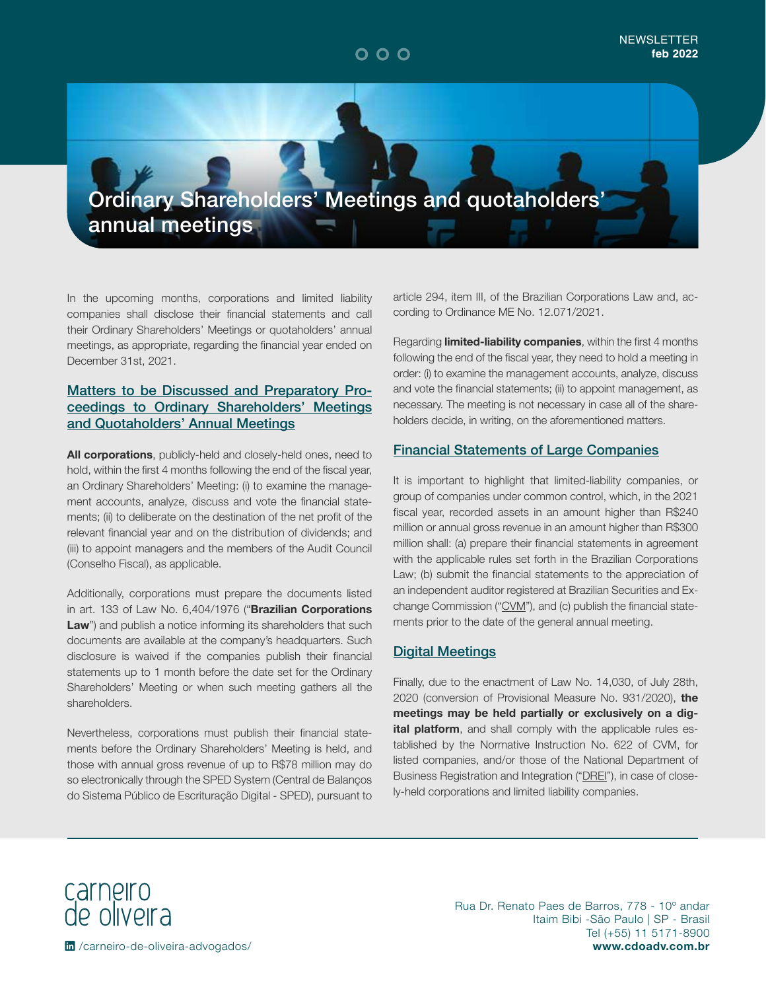Ordinary Shareholders' Meetings and quotaholders' annual meetings

In the upcoming months, corporations and limited liability companies shall disclose their financial statements and call their Ordinary Shareholders' Meetings or quotaholders' annual meetings, as appropriate, regarding the financial year ended on December 31st, 2021.

### Matters to be Discussed and Preparatory Proceedings to Ordinary Shareholders' Meetings and Quotaholders' Annual Meetings

**All corporations**, publicly-held and closely-held ones, need to hold, within the first 4 months following the end of the fiscal year, an Ordinary Shareholders' Meeting: (i) to examine the management accounts, analyze, discuss and vote the financial statements; (ii) to deliberate on the destination of the net profit of the relevant financial year and on the distribution of dividends; and (iii) to appoint managers and the members of the Audit Council (Conselho Fiscal), as applicable.

Additionally, corporations must prepare the documents listed in art. 133 of Law No. 6,404/1976 ("**Brazilian Corporations**  Law") and publish a notice informing its shareholders that such documents are available at the company's headquarters. Such disclosure is waived if the companies publish their financial statements up to 1 month before the date set for the Ordinary Shareholders' Meeting or when such meeting gathers all the shareholders.

Nevertheless, corporations must publish their financial statements before the Ordinary Shareholders' Meeting is held, and those with annual gross revenue of up to R\$78 million may do so electronically through the SPED System (Central de Balanços do Sistema Público de Escrituração Digital - SPED), pursuant to

article 294, item III, of the Brazilian Corporations Law and, according to Ordinance ME No. 12.071/2021.

Regarding **limited-liability companies**, within the first 4 months following the end of the fiscal year, they need to hold a meeting in order: (i) to examine the management accounts, analyze, discuss and vote the financial statements; (ii) to appoint management, as necessary. The meeting is not necessary in case all of the shareholders decide, in writing, on the aforementioned matters.

### Financial Statements of Large Companies

It is important to highlight that limited-liability companies, or group of companies under common control, which, in the 2021 fiscal year, recorded assets in an amount higher than R\$240 million or annual gross revenue in an amount higher than R\$300 million shall: (a) prepare their financial statements in agreement with the applicable rules set forth in the Brazilian Corporations Law; (b) submit the financial statements to the appreciation of an independent auditor registered at Brazilian Securities and Exchange Commission ("CVM"), and (c) publish the financial statements prior to the date of the general annual meeting.

#### Digital Meetings

Finally, due to the enactment of Law No. 14,030, of July 28th, 2020 (conversion of Provisional Measure No. 931/2020), **the meetings may be held partially or exclusively on a digital platform**, and shall comply with the applicable rules established by the Normative Instruction No. 622 of CVM, for listed companies, and/or those of the National Department of Business Registration and Integration ("DREI"), in case of closely-held corporations and limited liability companies.

carneiro<br>de oliveira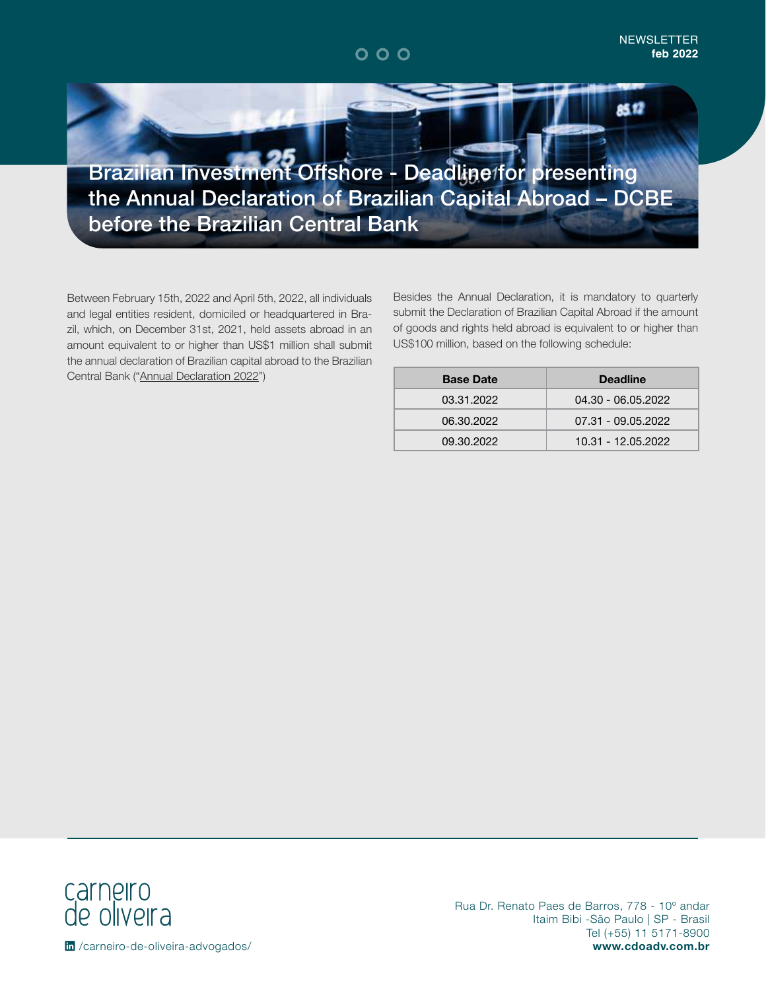85.TZ

Brazilian Investment Offshore - Deadline for presenting the Annual Declaration of Brazilian Capital Abroad – DCBE before the Brazilian Central Bank

Between February 15th, 2022 and April 5th, 2022, all individuals and legal entities resident, domiciled or headquartered in Brazil, which, on December 31st, 2021, held assets abroad in an amount equivalent to or higher than US\$1 million shall submit the annual declaration of Brazilian capital abroad to the Brazilian Central Bank ("Annual Declaration 2022")

Besides the Annual Declaration, it is mandatory to quarterly submit the Declaration of Brazilian Capital Abroad if the amount of goods and rights held abroad is equivalent to or higher than US\$100 million, based on the following schedule:

| <b>Base Date</b> | <b>Deadline</b>    |
|------------------|--------------------|
| 03.31.2022       | 04.30 - 06.05.2022 |
| 06.30.2022       | 07.31 - 09.05.2022 |
| 09.30.2022       | 10.31 - 12.05.2022 |

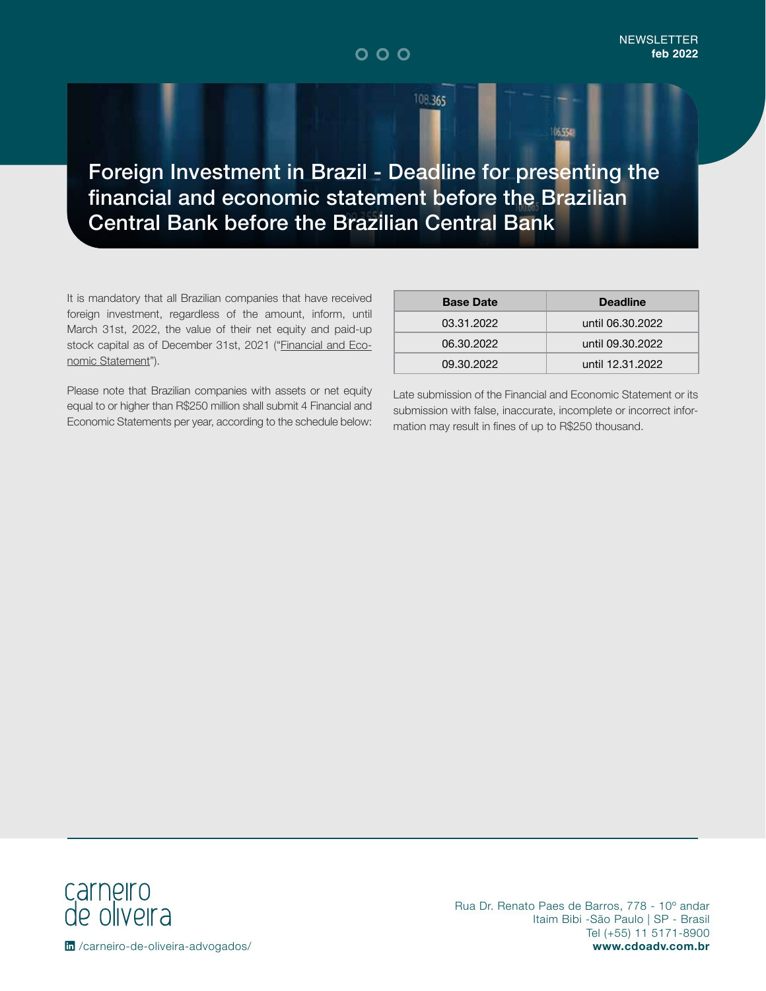108.365

Foreign Investment in Brazil - Deadline for presenting the financial and economic statement before the Brazilian Central Bank before the Brazilian Central Bank

It is mandatory that all Brazilian companies that have received foreign investment, regardless of the amount, inform, until March 31st, 2022, the value of their net equity and paid-up stock capital as of December 31st, 2021 ("Financial and Economic Statement").

Please note that Brazilian companies with assets or net equity equal to or higher than R\$250 million shall submit 4 Financial and Economic Statements per year, according to the schedule below:

| <b>Base Date</b> | <b>Deadline</b>  |
|------------------|------------------|
| 03.31.2022       | until 06.30.2022 |
| 06.30.2022       | until 09.30.2022 |
| 09.30.2022       | until 12.31.2022 |

06.554

Late submission of the Financial and Economic Statement or its submission with false, inaccurate, incomplete or incorrect information may result in fines of up to R\$250 thousand.

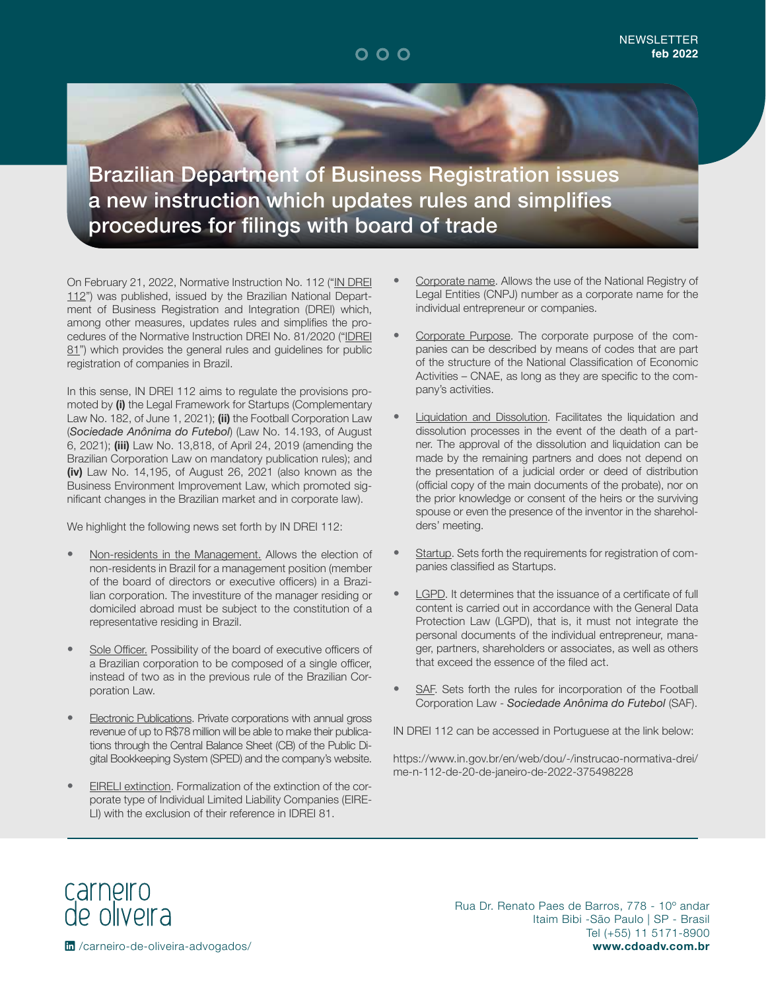Brazilian Department of Business Registration issues a new instruction which updates rules and simplifies procedures for filings with board of trade

On February 21, 2022, Normative Instruction No. 112 ("IN DREI 112") was published, issued by the Brazilian National Department of Business Registration and Integration (DREI) which, among other measures, updates rules and simplifies the procedures of the Normative Instruction DREI No. 81/2020 ("IDREI 81") which provides the general rules and guidelines for public registration of companies in Brazil.

In this sense, IN DREI 112 aims to regulate the provisions promoted by **(i)** the Legal Framework for Startups (Complementary Law No. 182, of June 1, 2021); **(ii)** the Football Corporation Law (*Sociedade Anônima do Futebol*) (Law No. 14.193, of August 6, 2021); **(iii)** Law No. 13,818, of April 24, 2019 (amending the Brazilian Corporation Law on mandatory publication rules); and **(iv)** Law No. 14,195, of August 26, 2021 (also known as the Business Environment Improvement Law, which promoted significant changes in the Brazilian market and in corporate law).

We highlight the following news set forth by IN DREI 112:

- Non-residents in the Management. Allows the election of non-residents in Brazil for a management position (member of the board of directors or executive officers) in a Brazilian corporation. The investiture of the manager residing or domiciled abroad must be subject to the constitution of a representative residing in Brazil.
- Sole Officer. Possibility of the board of executive officers of a Brazilian corporation to be composed of a single officer, instead of two as in the previous rule of the Brazilian Corporation Law.
- **Electronic Publications.** Private corporations with annual gross revenue of up to R\$78 million will be able to make their publications through the Central Balance Sheet (CB) of the Public Digital Bookkeeping System (SPED) and the company's website.
- EIRELI extinction. Formalization of the extinction of the corporate type of Individual Limited Liability Companies (EIRE-LI) with the exclusion of their reference in IDREI 81.
- Corporate name. Allows the use of the National Registry of Legal Entities (CNPJ) number as a corporate name for the individual entrepreneur or companies.
- Corporate Purpose. The corporate purpose of the companies can be described by means of codes that are part of the structure of the National Classification of Economic Activities – CNAE, as long as they are specific to the company's activities.
- **Liquidation and Dissolution.** Facilitates the liquidation and dissolution processes in the event of the death of a partner. The approval of the dissolution and liquidation can be made by the remaining partners and does not depend on the presentation of a judicial order or deed of distribution (official copy of the main documents of the probate), nor on the prior knowledge or consent of the heirs or the surviving spouse or even the presence of the inventor in the shareholders' meeting.
- Startup. Sets forth the requirements for registration of companies classified as Startups.
- LGPD. It determines that the issuance of a certificate of full content is carried out in accordance with the General Data Protection Law (LGPD), that is, it must not integrate the personal documents of the individual entrepreneur, manager, partners, shareholders or associates, as well as others that exceed the essence of the filed act.
- SAF. Sets forth the rules for incorporation of the Football Corporation Law - *Sociedade Anônima do Futebol* (SAF).

IN DREI 112 can be accessed in Portuguese at the link below:

[https://www.in.gov.br/en/web/dou/-/instrucao-normativa-drei/](https://www.in.gov.br/en/web/dou/-/instrucao-normativa-drei/me-n-112-de-20-de-janeiro-de-2022-375498) [me-n-112-de-20-de-janeiro-de-2022-375498228](https://www.in.gov.br/en/web/dou/-/instrucao-normativa-drei/me-n-112-de-20-de-janeiro-de-2022-375498)

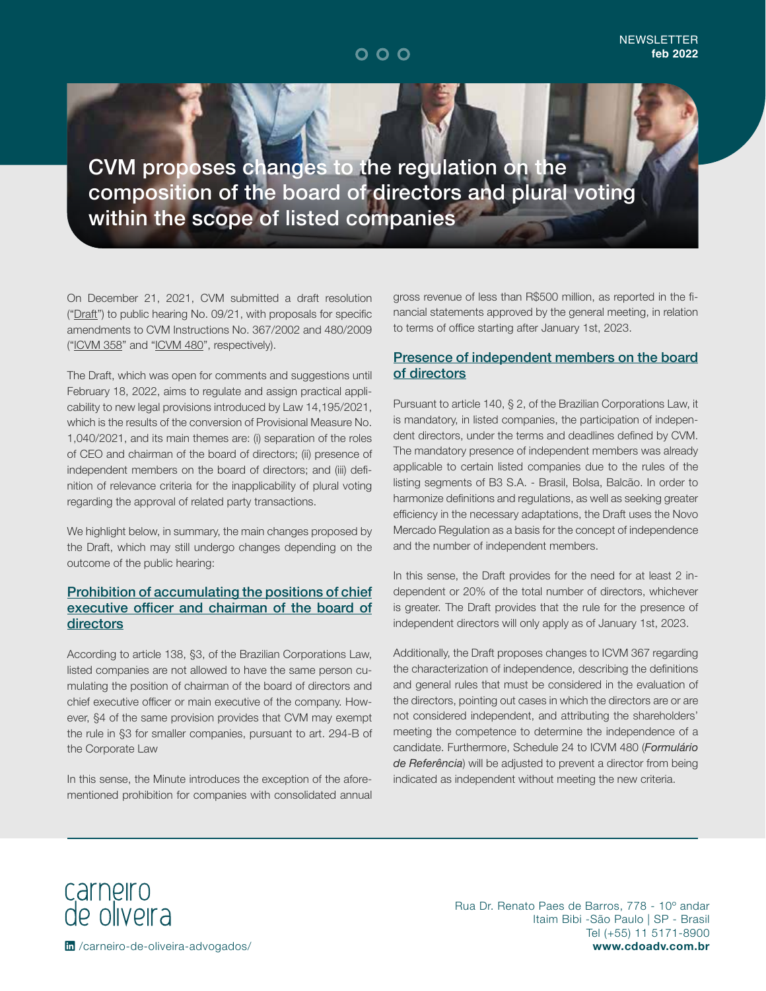CVM proposes changes to the regulation on the composition of the board of directors and plural voting within the scope of listed companies

On December 21, 2021, CVM submitted a draft resolution ("Draft") to public hearing No. 09/21, with proposals for specific amendments to CVM Instructions No. 367/2002 and 480/2009 ("ICVM 358" and "ICVM 480", respectively).

The Draft, which was open for comments and suggestions until February 18, 2022, aims to regulate and assign practical applicability to new legal provisions introduced by Law 14,195/2021, which is the results of the conversion of Provisional Measure No. 1,040/2021, and its main themes are: (i) separation of the roles of CEO and chairman of the board of directors; (ii) presence of independent members on the board of directors; and (iii) definition of relevance criteria for the inapplicability of plural voting regarding the approval of related party transactions.

We highlight below, in summary, the main changes proposed by the Draft, which may still undergo changes depending on the outcome of the public hearing:

### Prohibition of accumulating the positions of chief executive officer and chairman of the board of directors

According to article 138, §3, of the Brazilian Corporations Law, listed companies are not allowed to have the same person cumulating the position of chairman of the board of directors and chief executive officer or main executive of the company. However, §4 of the same provision provides that CVM may exempt the rule in §3 for smaller companies, pursuant to art. 294-B of the Corporate Law

In this sense, the Minute introduces the exception of the aforementioned prohibition for companies with consolidated annual gross revenue of less than R\$500 million, as reported in the financial statements approved by the general meeting, in relation to terms of office starting after January 1st, 2023.

#### Presence of independent members on the board of directors

Pursuant to article 140, § 2, of the Brazilian Corporations Law, it is mandatory, in listed companies, the participation of independent directors, under the terms and deadlines defined by CVM. The mandatory presence of independent members was already applicable to certain listed companies due to the rules of the listing segments of B3 S.A. - Brasil, Bolsa, Balcão. In order to harmonize definitions and regulations, as well as seeking greater efficiency in the necessary adaptations, the Draft uses the Novo Mercado Regulation as a basis for the concept of independence and the number of independent members.

In this sense, the Draft provides for the need for at least 2 independent or 20% of the total number of directors, whichever is greater. The Draft provides that the rule for the presence of independent directors will only apply as of January 1st, 2023.

Additionally, the Draft proposes changes to ICVM 367 regarding the characterization of independence, describing the definitions and general rules that must be considered in the evaluation of the directors, pointing out cases in which the directors are or are not considered independent, and attributing the shareholders' meeting the competence to determine the independence of a candidate. Furthermore, Schedule 24 to ICVM 480 (*Formulário de Referência*) will be adjusted to prevent a director from being indicated as independent without meeting the new criteria.